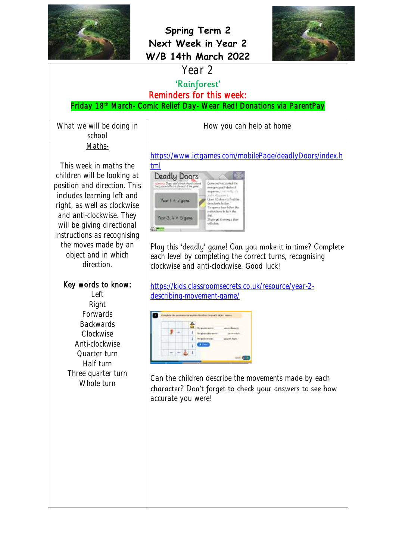



## 'Rainforest' Reminders for this week:

Year 2

Friday 18<sup>th</sup> March- Comic Relief Day- Wear Red! Donations via ParentPay

What we will be doing in How you can help at home school Maths-This week in maths the [tml](https://www.ictgames.com/mobilePage/deadlyDoors/index.html) children will be looking at Deadly Doors Sorssons has started the<br>emergency self-destruct<br>suspience, (not make it) position and direction. This women If you don't first them's signal<br>bang must affect at the and of the game includes learning left and Open 10 doors to find the Ywar it in 2 game. right, as well as clockwise de-sciavate buition.<br>To open a door follow the mitructions is larn th and anti-clockwise. They Asi. Year 3, 4 \* 5 gime If you get it wrong a dor will be giving directional cian instructions as recognising the moves made by an object and in which each level by completing the correct turns, recognising direction. clockwise and anti-clockwise. Good luck! Key words to know: [https://kids.classroomsecrets.co.uk/resource/year-2-](https://kids.classroomsecrets.co.uk/resource/year-2-describing-movement-game/) Left [describing-movement-game/](https://kids.classroomsecrets.co.uk/resource/year-2-describing-movement-game/) Right Forwards П Backwards Clockwise Anti-clockwise Quarter turn Half turn Three quarter turn Can the children describe the movements made by each Whole turn character? Don't forget to check your answers to see how accurate you were!

[https://www.ictgames.com/mobilePage/deadlyDoors/index.h](https://www.ictgames.com/mobilePage/deadlyDoors/index.html)

Play this 'deadly' game! Can you make it in time? Complete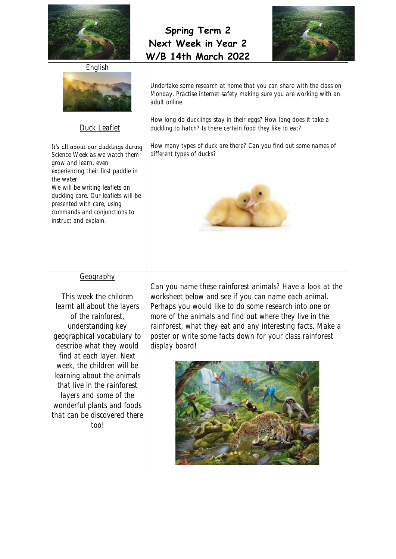





Duck Leaflet

It's all about our ducklings during Science Week as we watch them grow and learn, even experiencing their first paddle in the water. We will be writing leaflets on

duckling care. Our leaflets will be presented with care, using commands and conjunctions to instruct and explain.

Undertake some research at home that you can share with the class on Monday. Practise internet safety making sure you are working with an adult online.

How long do ducklings stay in their eggs? How long does it take a duckling to hatch? Is there certain food they like to eat?

How many types of duck are there? Can you find out some names of different types of ducks?



## Geography

This week the children learnt all about the layers of the rainforest, understanding key geographical vocabulary to describe what they would find at each layer. Next week, the children will be learning about the animals that live in the rainforest layers and some of the wonderful plants and foods that can be discovered there too!

Can you name these rainforest animals? Have a look at the worksheet below and see if you can name each animal. Perhaps you would like to do some research into one or more of the animals and find out where they live in the rainforest, what they eat and any interesting facts. Make a poster or write some facts down for your class rainforest display board!

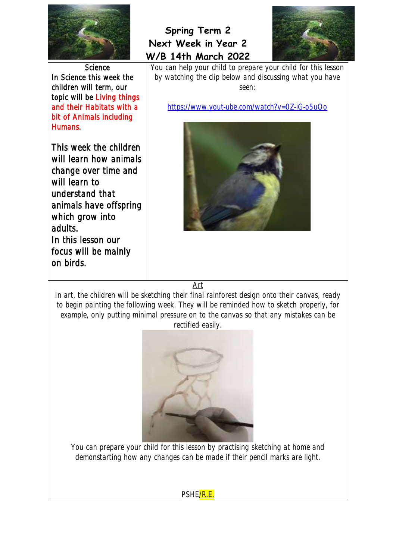

**Science** In Science this week the children will term, our topic will be Living things and their Habitats with a bit of Animals including Humans.

This week the children will learn how animals change over time and will learn to understand that animals have offspring which grow into adults. In this lesson our focus will be mainly on birds.

**Spring Term 2 Next Week in Year 2 W/B 14th March 2022**



You can help your child to prepare your child for this lesson by watching the clip below and discussing what you have seen:

<https://www.yout-ube.com/watch?v=0Z-iG-o5uOo>



Art

In art, the children will be sketching their final rainforest design onto their canvas, ready to begin painting the following week. They will be reminded how to sketch properly, for example, only putting minimal pressure on to the canvas so that any mistakes can be rectified easily.



You can prepare your child for this lesson by practising sketching at home and demonstarting how any changes can be made if their pencil marks are light.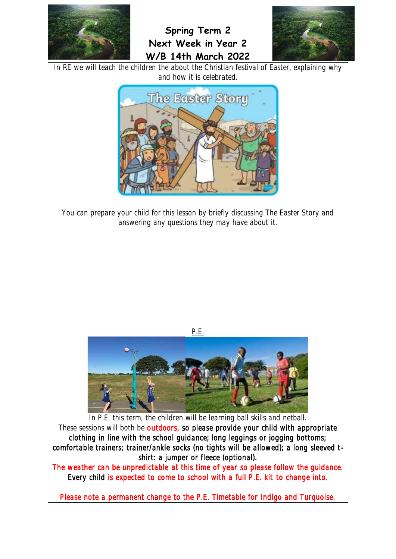



In RE we will teach the children the about the Christian festival of Easter, explaining why and how it is celebrated.



You can prepare your child for this lesson by briefly discussing The Easter Story and answering any questions they may have about it.





In P.E. this term, the children will be learning ball skills and netball. These sessions will both be outdoors, so please provide your child with appropriate clothing in line with the school guidance; long leggings or jogging bottoms; comfortable trainers; trainer/ankle socks (no tights will be allowed); a long sleeved tshirt: a jumper or fleece (optional).

The weather can be unpredictable at this time of year so please follow the guidance. Every child is expected to come to school with a full P.E. kit to change into.

Please note a permanent change to the P.E. Timetable for Indigo and Turquoise.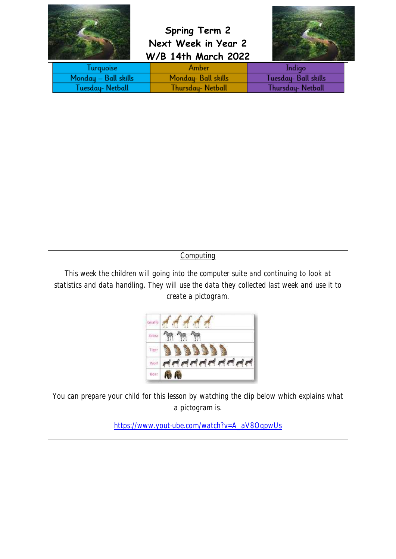



| Turquoise                                                                                                                                                                                                 | Amber                                                                                                        | Indigo                  |  |  |
|-----------------------------------------------------------------------------------------------------------------------------------------------------------------------------------------------------------|--------------------------------------------------------------------------------------------------------------|-------------------------|--|--|
| Monday - Ball skills                                                                                                                                                                                      | Monday- Ball skills                                                                                          | Tuesday- Ball skills    |  |  |
| Tuesday-Netball                                                                                                                                                                                           | Thursday- Netball                                                                                            | <b>Thursday-Netball</b> |  |  |
|                                                                                                                                                                                                           |                                                                                                              |                         |  |  |
|                                                                                                                                                                                                           |                                                                                                              |                         |  |  |
|                                                                                                                                                                                                           | Computing                                                                                                    |                         |  |  |
| This week the children will going into the computer suite and continuing to look at<br>statistics and data handling. They will use the data they collected last week and use it to<br>create a pictogram. |                                                                                                              |                         |  |  |
|                                                                                                                                                                                                           | Giraffe<br>Zebra<br>Tiger<br>idddddddd<br>Wolf<br>Bear                                                       |                         |  |  |
|                                                                                                                                                                                                           | You can prepare your child for this lesson by watching the clip below which explains what<br>a pictogram is. |                         |  |  |

[https://www.yout-ube.com/watch?v=A\\_aV8OqpwUs](https://www.yout-ube.com/watch?v=A_aV8OqpwUs)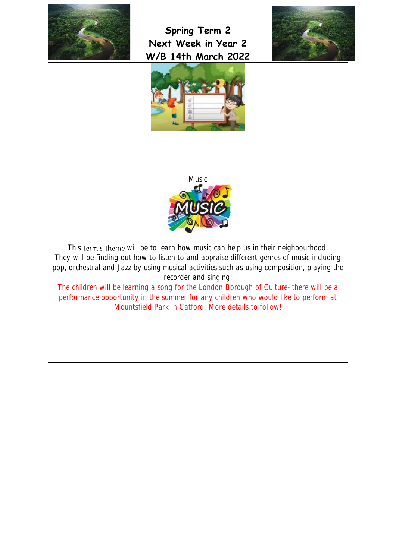

**Spring Term 2 Next Week in Year 2 W/B 14th March 2022**







This term's theme will be to learn how music can help us in their neighbourhood. They will be finding out how to listen to and appraise different genres of music including pop, orchestral and Jazz by using musical activities such as using composition, playing the recorder and singing!

The children will be learning a song for the London Borough of Culture- there will be a performance opportunity in the summer for any children who would like to perform at Mountsfield Park in Catford. More details to follow!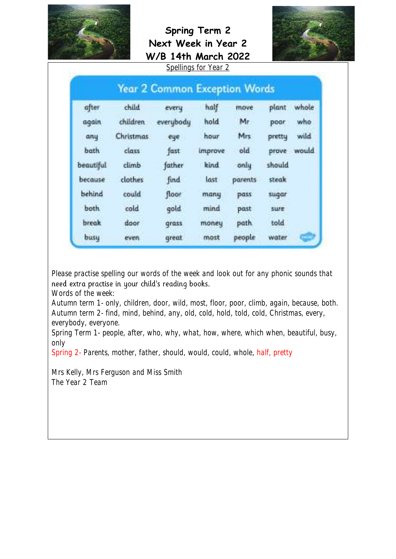



| <b>Year 2 Common Exception Words</b> |                  |           |         |         |              |       |
|--------------------------------------|------------------|-----------|---------|---------|--------------|-------|
| after                                | child            | every     | half    | move    | plant        | whole |
| again                                | children.        | everybody | hold    | Mr      | poor         | who   |
| any                                  | <b>Christmas</b> | eye       | hour    | Mrs:    | pretty       | wild  |
| bath                                 | class            | fast      | improve | old     | prove        | would |
| beautiful                            | climb            | father.   | kind    | only    | should       |       |
| because                              | clothes          | find      | last    | parents | <b>steak</b> |       |
| behind                               | could            | floor     | many    | pass    | sugar        |       |
| both                                 | cold             | gold      | mind    | past    | sure         |       |
| <b>break</b>                         | door             | grass     | money   | path    | told         |       |
| busu                                 | even.            | great     | most    | people  | water        |       |

Please practise spelling our words of the week and look out for any phonic sounds that need extra practise in your child's reading books.

Words of the week:

Autumn term 1- only, children, door, wild, most, floor, poor, climb, again, because, both. Autumn term 2- find, mind, behind, any, old, cold, hold, told, cold, Christmas, every, everybody, everyone.

Spring Term 1- people, after, who, why, what, how, where, which when, beautiful, busy, only

Spring 2- Parents, mother, father, should, would, could, whole, half, pretty

Mrs Kelly, Mrs Ferguson and Miss Smith The Year 2 Team